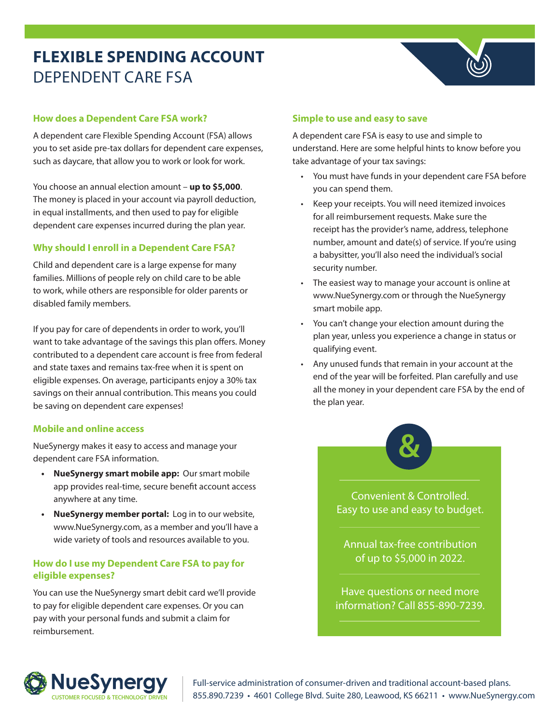# **FLEXIBLE SPENDING ACCOUNT** DEPENDENT CARE FSA

## **How does a Dependent Care FSA work?**

A dependent care Flexible Spending Account (FSA) allows you to set aside pre-tax dollars for dependent care expenses, such as daycare, that allow you to work or look for work.

You choose an annual election amount – **up to \$5,000**. The money is placed in your account via payroll deduction, in equal installments, and then used to pay for eligible dependent care expenses incurred during the plan year.

# **Why should I enroll in a Dependent Care FSA?**

Child and dependent care is a large expense for many families. Millions of people rely on child care to be able to work, while others are responsible for older parents or disabled family members.

If you pay for care of dependents in order to work, you'll want to take advantage of the savings this plan offers. Money contributed to a dependent care account is free from federal and state taxes and remains tax-free when it is spent on eligible expenses. On average, participants enjoy a 30% tax savings on their annual contribution. This means you could be saving on dependent care expenses!

### **Mobile and online access**

NueSynergy makes it easy to access and manage your dependent care FSA information.

- **• NueSynergy smart mobile app:** Our smart mobile app provides real-time, secure benefit account access anywhere at any time.
- **• NueSynergy member portal:** Log in to our website, www.NueSynergy.com, as a member and you'll have a wide variety of tools and resources available to you.

## **How do I use my Dependent Care FSA to pay for eligible expenses?**

You can use the NueSynergy smart debit card we'll provide to pay for eligible dependent care expenses. Or you can pay with your personal funds and submit a claim for reimbursement.

## **Simple to use and easy to save**

A dependent care FSA is easy to use and simple to understand. Here are some helpful hints to know before you take advantage of your tax savings:

- You must have funds in your dependent care FSA before you can spend them.
- Keep your receipts. You will need itemized invoices for all reimbursement requests. Make sure the receipt has the provider's name, address, telephone number, amount and date(s) of service. If you're using a babysitter, you'll also need the individual's social security number.
- The easiest way to manage your account is online at www.NueSynergy.com or through the NueSynergy smart mobile app.
- You can't change your election amount during the plan year, unless you experience a change in status or qualifying event.
- Any unused funds that remain in your account at the end of the year will be forfeited. Plan carefully and use all the money in your dependent care FSA by the end of the plan year.



Convenient & Controlled. Easy to use and easy to budget.

Annual tax-free contribution of up to \$5,000 in 2022.

Have questions or need more information? Call 855-890-7239.



Full-service administration of consumer-driven and traditional account-based plans. **NUESY NETCHEREE 8666 FOR FULL SERVICE ADMINISTRATION** Full-service administration of consumer-driven and traditional account-based plans.<br>CUSTOMER FOCUSED & TECHNOLOGY DRIVEN 855.890.7239 • 4601 College Blvd. Suite 280, L